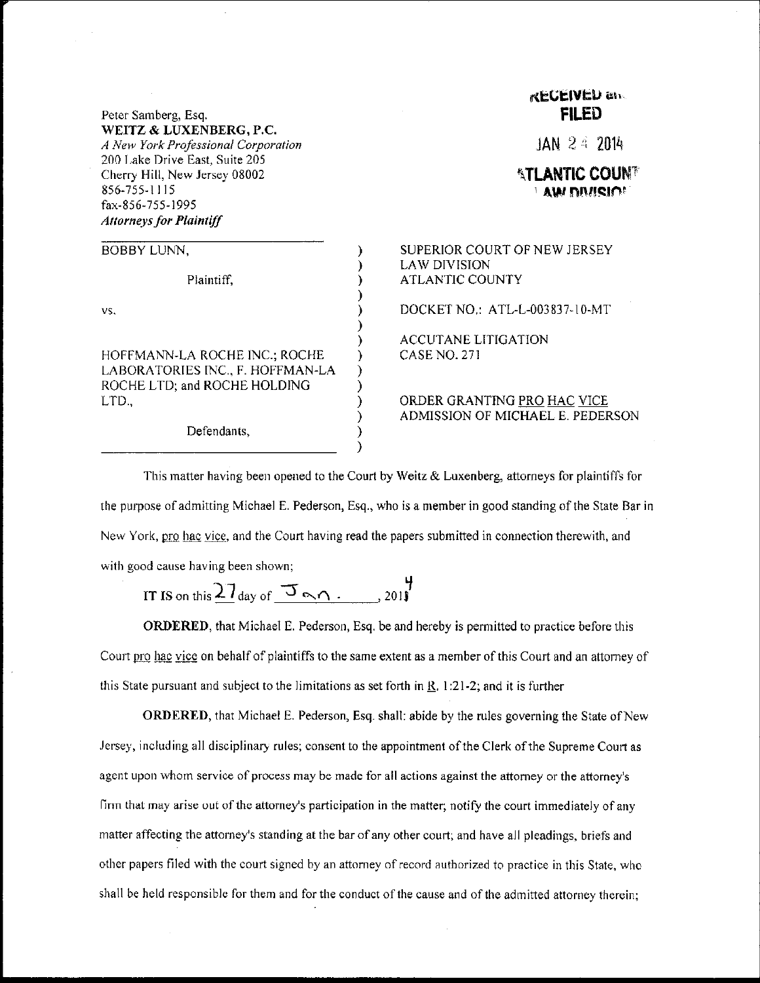| Peter Samberg, Esq.                                                                                                                   | KECEIVED an<br><b>FILED</b>                        |
|---------------------------------------------------------------------------------------------------------------------------------------|----------------------------------------------------|
| WEITZ & LUXENBERG, P.C.<br>A New York Professional Corporation                                                                        | JAN $24.2014$                                      |
| 200 Lake Drive East, Suite 205<br>Cherry Hill, New Jersey 08002<br>856-755-1115<br>fax-856-755-1995<br><b>Attorneys for Plaintiff</b> | <b><i>ATLANTIC COUNT</i></b><br><b>AW DIVISION</b> |
| BOBBY LUNN,                                                                                                                           | SUPERIOR COURT OF NEW JERSEY                       |
|                                                                                                                                       | LAW DIVISION                                       |
| Plaintiff,                                                                                                                            | <b>ATLANTIC COUNTY</b>                             |
| VS.                                                                                                                                   | DOCKET NO.: ATL-L-003837-10-MT                     |
|                                                                                                                                       | <b>ACCUTANE LITIGATION</b>                         |
| HOFFMANN-LA ROCHE INC.; ROCHE<br>LABORATORIES INC., F. HOFFMAN-LA<br>ROCHE LTD; and ROCHE HOLDING                                     | CASE NO. 271                                       |
| LTD.,                                                                                                                                 | ORDER GRANTING PRO HAC VICE                        |
|                                                                                                                                       | ADMISSION OF MICHAEL E. PEDERSON                   |
| Defendants,                                                                                                                           |                                                    |

This matter having been opened to the Court by Weitz  $\&$  Luxenberg, attorneys for plaintiffs for the purpose of admitting Michael E. Pederson, Esq., who is a member in good standing of the State Bar in New York, pro hac vice, and the Court having read the papers submitted in connection therewith, and with good cause having been shown;

⟩

IT IS on this  $27$  day of  $\frac{1}{2}$ , 2018 20lt

ORDERED, that Michael E. Pederson, Esq. be and hereby is permitted to practice before this Court pro hac vice on behalf of plaintiffs to the same extent as a member of this Court and an attorney of this State pursuant and subject to the limitations as set forth in  $\mathbf{R}$ , 1:21-2; and it is further

ORDERED, that Michael E. Pederson, Esq. shall: abide by the rules governing the State of New Jersey, including all disciplinary rules; consent to the appointment of the Clerk of the Supreme Court as agent upon whom service of process may be made for all actions against the attorney or the attorney's firm that may arise out of the attorney's participation in the matter; notify the court immediately of any matter affecting the attorney's standing at the bar of any other court; and have all pleadings, briefs and other papers filed with the court signed by an attomev of record authorized to practioe in this State, who shall be held responsible for them and for the conduct of the cause and of the admitted attorney therein;